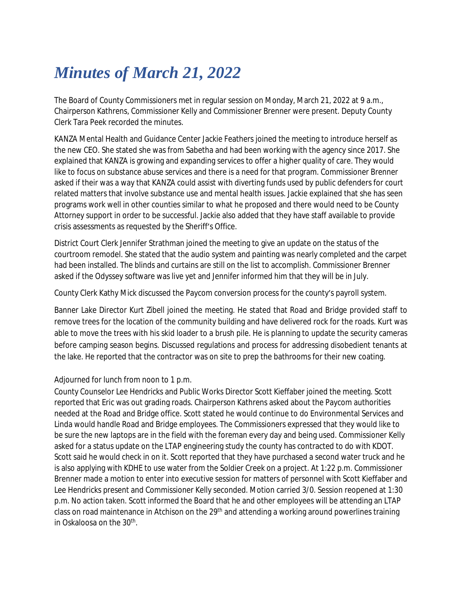## *Minutes of March 21, 2022*

The Board of County Commissioners met in regular session on Monday, March 21, 2022 at 9 a.m., Chairperson Kathrens, Commissioner Kelly and Commissioner Brenner were present. Deputy County Clerk Tara Peek recorded the minutes.

KANZA Mental Health and Guidance Center Jackie Feathers joined the meeting to introduce herself as the new CEO. She stated she was from Sabetha and had been working with the agency since 2017. She explained that KANZA is growing and expanding services to offer a higher quality of care. They would like to focus on substance abuse services and there is a need for that program. Commissioner Brenner asked if their was a way that KANZA could assist with diverting funds used by public defenders for court related matters that involve substance use and mental health issues. Jackie explained that she has seen programs work well in other counties similar to what he proposed and there would need to be County Attorney support in order to be successful. Jackie also added that they have staff available to provide crisis assessments as requested by the Sheriff's Office.

District Court Clerk Jennifer Strathman joined the meeting to give an update on the status of the courtroom remodel. She stated that the audio system and painting was nearly completed and the carpet had been installed. The blinds and curtains are still on the list to accomplish. Commissioner Brenner asked if the Odyssey software was live yet and Jennifer informed him that they will be in July.

County Clerk Kathy Mick discussed the Paycom conversion process for the county's payroll system.

Banner Lake Director Kurt Zibell joined the meeting. He stated that Road and Bridge provided staff to remove trees for the location of the community building and have delivered rock for the roads. Kurt was able to move the trees with his skid loader to a brush pile. He is planning to update the security cameras before camping season begins. Discussed regulations and process for addressing disobedient tenants at the lake. He reported that the contractor was on site to prep the bathrooms for their new coating.

## Adjourned for lunch from noon to 1 p.m.

County Counselor Lee Hendricks and Public Works Director Scott Kieffaber joined the meeting. Scott reported that Eric was out grading roads. Chairperson Kathrens asked about the Paycom authorities needed at the Road and Bridge office. Scott stated he would continue to do Environmental Services and Linda would handle Road and Bridge employees. The Commissioners expressed that they would like to be sure the new laptops are in the field with the foreman every day and being used. Commissioner Kelly asked for a status update on the LTAP engineering study the county has contracted to do with KDOT. Scott said he would check in on it. Scott reported that they have purchased a second water truck and he is also applying with KDHE to use water from the Soldier Creek on a project. At 1:22 p.m. Commissioner Brenner made a motion to enter into executive session for matters of personnel with Scott Kieffaber and Lee Hendricks present and Commissioner Kelly seconded. Motion carried 3/0. Session reopened at 1:30 p.m. No action taken. Scott informed the Board that he and other employees will be attending an LTAP class on road maintenance in Atchison on the 29<sup>th</sup> and attending a working around powerlines training in Oskaloosa on the 30th .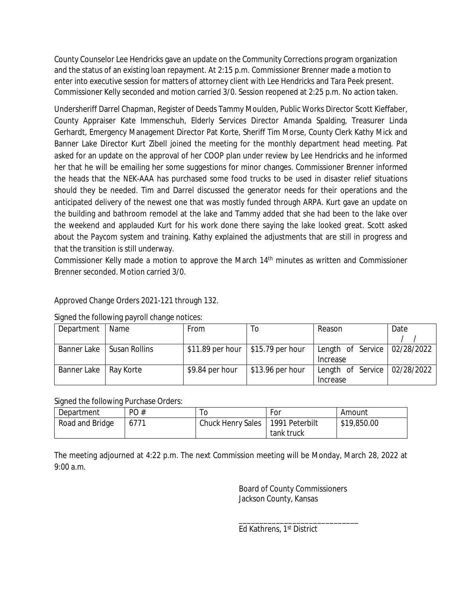County Counselor Lee Hendricks gave an update on the Community Corrections program organization and the status of an existing loan repayment. At 2:15 p.m. Commissioner Brenner made a motion to enter into executive session for matters of attorney client with Lee Hendricks and Tara Peek present. Commissioner Kelly seconded and motion carried 3/0. Session reopened at 2:25 p.m. No action taken.

Undersheriff Darrel Chapman, Register of Deeds Tammy Moulden, Public Works Director Scott Kieffaber, County Appraiser Kate Immenschuh, Elderly Services Director Amanda Spalding, Treasurer Linda Gerhardt, Emergency Management Director Pat Korte, Sheriff Tim Morse, County Clerk Kathy Mick and Banner Lake Director Kurt Zibell joined the meeting for the monthly department head meeting. Pat asked for an update on the approval of her COOP plan under review by Lee Hendricks and he informed her that he will be emailing her some suggestions for minor changes. Commissioner Brenner informed the heads that the NEK-AAA has purchased some food trucks to be used in disaster relief situations should they be needed. Tim and Darrel discussed the generator needs for their operations and the anticipated delivery of the newest one that was mostly funded through ARPA. Kurt gave an update on the building and bathroom remodel at the lake and Tammy added that she had been to the lake over the weekend and applauded Kurt for his work done there saying the lake looked great. Scott asked about the Paycom system and training. Kathy explained the adjustments that are still in progress and that the transition is still underway.

Commissioner Kelly made a motion to approve the March 14<sup>th</sup> minutes as written and Commissioner Brenner seconded. Motion carried 3/0.

Approved Change Orders 2021-121 through 132.

Signed the following payroll change notices:

| Department              | Name          | From                                 | 10                | Reason                                       | Date |
|-------------------------|---------------|--------------------------------------|-------------------|----------------------------------------------|------|
|                         |               |                                      |                   |                                              |      |
| Banner Lake             | Susan Rollins | $$11.89$ per hour $ $15.79$ per hour |                   | Length of Service   02/28/2022               |      |
|                         |               |                                      |                   | Increase                                     |      |
| Banner Lake   Ray Korte |               | \$9.84 per hour                      | $$13.96$ per hour | Length of Service $\vert$ 02/28/2022 $\vert$ |      |
|                         |               |                                      |                   | Increase                                     |      |

Signed the following Purchase Orders:

| Department      | PO#  |                   | For            | Amount      |
|-----------------|------|-------------------|----------------|-------------|
| Road and Bridge | 6771 | Chuck Henry Sales | 1991 Peterbilt | \$19,850.00 |
|                 |      |                   | tank truck     |             |

The meeting adjourned at 4:22 p.m. The next Commission meeting will be Monday, March 28, 2022 at 9:00 a.m.

> Board of County Commissioners Jackson County, Kansas

\_\_\_\_\_\_\_\_\_\_\_\_\_\_\_\_\_\_\_\_\_\_\_\_\_\_\_\_\_ Ed Kathrens, 1st District